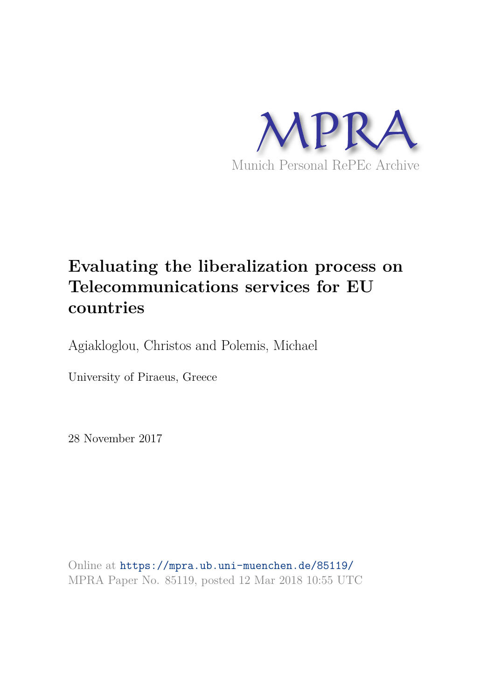

# **Evaluating the liberalization process on Telecommunications services for EU countries**

Agiakloglou, Christos and Polemis, Michael

University of Piraeus, Greece

28 November 2017

Online at https://mpra.ub.uni-muenchen.de/85119/ MPRA Paper No. 85119, posted 12 Mar 2018 10:55 UTC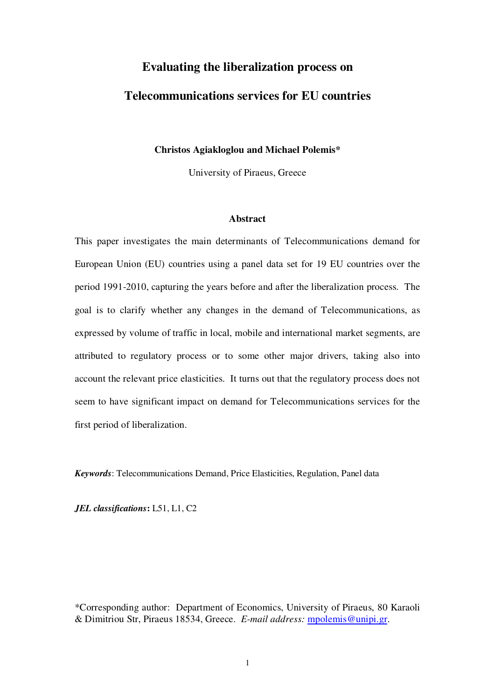# **Evaluating the liberalization process on Telecommunications services for EU countries**

### **Christos Agiakloglou and Michael Polemis\***

University of Piraeus, Greece

#### **Abstract**

This paper investigates the main determinants of Telecommunications demand for European Union (EU) countries using a panel data set for 19 EU countries over the period 1991-2010, capturing the years before and after the liberalization process. The goal is to clarify whether any changes in the demand of Telecommunications, as expressed by volume of traffic in local, mobile and international market segments, are attributed to regulatory process or to some other major drivers, taking also into account the relevant price elasticities. It turns out that the regulatory process does not seem to have significant impact on demand for Telecommunications services for the first period of liberalization.

*Keywords*: Telecommunications Demand, Price Elasticities, Regulation, Panel data

*JEL classifications***:** L51, L1, C2

\*Corresponding author: Department of Economics, University of Piraeus, 80 Karaoli & Dimitriou Str, Piraeus 18534, Greece. *E-mail address:* [mpolemis@unipi.gr.](mailto:mpolemis@unipi.gr)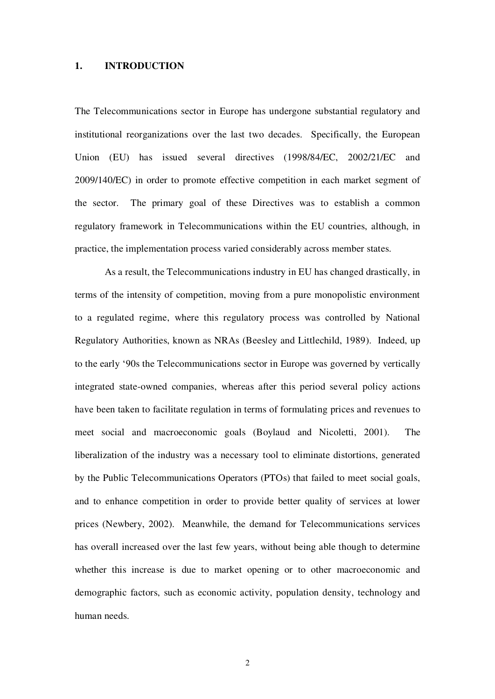#### **1. INTRODUCTION**

The Telecommunications sector in Europe has undergone substantial regulatory and institutional reorganizations over the last two decades. Specifically, the European Union (EU) has issued several directives (1998/84/EC, 2002/21/EC and 2009/140/EC) in order to promote effective competition in each market segment of the sector. The primary goal of these Directives was to establish a common regulatory framework in Telecommunications within the EU countries, although, in practice, the implementation process varied considerably across member states.

 As a result, the Telecommunications industry in EU has changed drastically, in terms of the intensity of competition, moving from a pure monopolistic environment to a regulated regime, where this regulatory process was controlled by National Regulatory Authorities, known as NRAs (Beesley and Littlechild, 1989). Indeed, up to the early '90s the Telecommunications sector in Europe was governed by vertically integrated state-owned companies, whereas after this period several policy actions have been taken to facilitate regulation in terms of formulating prices and revenues to meet social and macroeconomic goals (Boylaud and Nicoletti, 2001). The liberalization of the industry was a necessary tool to eliminate distortions, generated by the Public Telecommunications Operators (PTOs) that failed to meet social goals, and to enhance competition in order to provide better quality of services at lower prices (Newbery, 2002). Meanwhile, the demand for Telecommunications services has overall increased over the last few years, without being able though to determine whether this increase is due to market opening or to other macroeconomic and demographic factors, such as economic activity, population density, technology and human needs.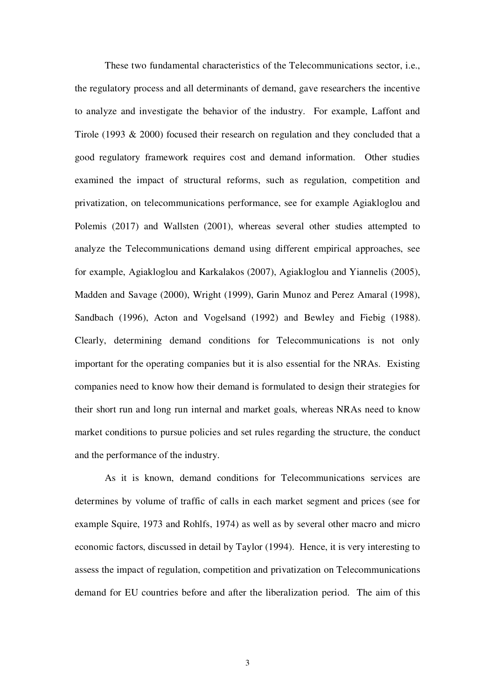These two fundamental characteristics of the Telecommunications sector, i.e., the regulatory process and all determinants of demand, gave researchers the incentive to analyze and investigate the behavior of the industry. For example, Laffont and Tirole (1993 & 2000) focused their research on regulation and they concluded that a good regulatory framework requires cost and demand information. Other studies examined the impact of structural reforms, such as regulation, competition and privatization, on telecommunications performance, see for example Agiakloglou and Polemis (2017) and Wallsten (2001), whereas several other studies attempted to analyze the Telecommunications demand using different empirical approaches, see for example, Agiakloglou and Karkalakos (2007), Agiakloglou and Yiannelis (2005), Madden and Savage (2000), Wright (1999), Garin Munoz and Perez Amaral (1998), Sandbach (1996), Acton and Vogelsand (1992) and Bewley and Fiebig (1988). Clearly, determining demand conditions for Telecommunications is not only important for the operating companies but it is also essential for the NRAs. Existing companies need to know how their demand is formulated to design their strategies for their short run and long run internal and market goals, whereas NRAs need to know market conditions to pursue policies and set rules regarding the structure, the conduct and the performance of the industry.

 As it is known, demand conditions for Telecommunications services are determines by volume of traffic of calls in each market segment and prices (see for example Squire, 1973 and Rohlfs, 1974) as well as by several other macro and micro economic factors, discussed in detail by Taylor (1994). Hence, it is very interesting to assess the impact of regulation, competition and privatization on Telecommunications demand for EU countries before and after the liberalization period. The aim of this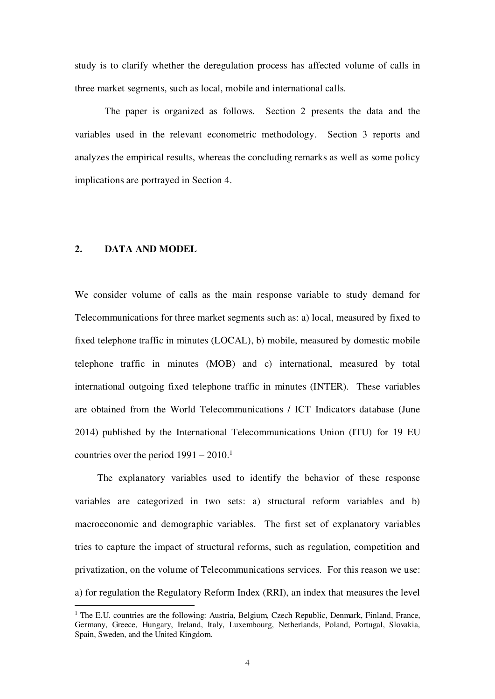study is to clarify whether the deregulation process has affected volume of calls in three market segments, such as local, mobile and international calls.

 The paper is organized as follows. Section 2 presents the data and the variables used in the relevant econometric methodology. Section 3 reports and analyzes the empirical results, whereas the concluding remarks as well as some policy implications are portrayed in Section 4.

### **2. DATA AND MODEL**

-

We consider volume of calls as the main response variable to study demand for Telecommunications for three market segments such as: a) local, measured by fixed to fixed telephone traffic in minutes (LOCAL), b) mobile, measured by domestic mobile telephone traffic in minutes (MOB) and c) international, measured by total international outgoing fixed telephone traffic in minutes (INTER). These variables are obtained from the World Telecommunications / ICT Indicators database (June 2014) published by the International Telecommunications Union (ITU) for 19 EU countries over the period  $1991 - 2010$ .<sup>1</sup>

 The explanatory variables used to identify the behavior of these response variables are categorized in two sets: a) structural reform variables and b) macroeconomic and demographic variables. The first set of explanatory variables tries to capture the impact of structural reforms, such as regulation, competition and privatization, on the volume of Telecommunications services. For this reason we use: a) for regulation the Regulatory Reform Index (RRI), an index that measures the level

<sup>&</sup>lt;sup>1</sup> The E.U. countries are the following: Austria, Belgium, Czech Republic, Denmark, Finland, France, Germany, Greece, Hungary, Ireland, Italy, Luxembourg, Netherlands, Poland, Portugal, Slovakia, Spain, Sweden, and the United Kingdom.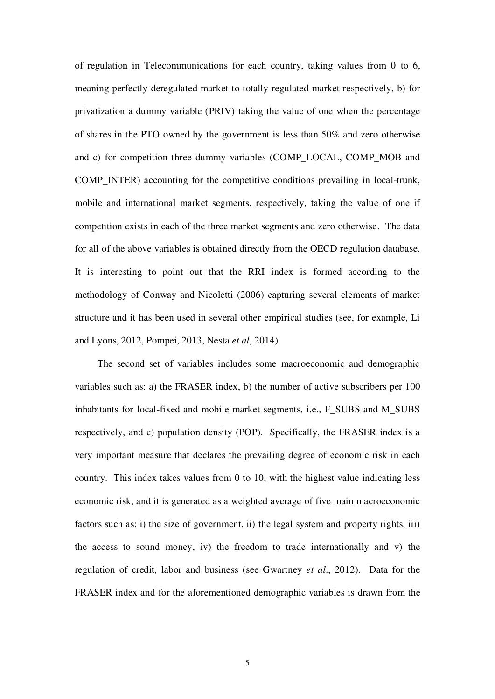of regulation in Telecommunications for each country, taking values from 0 to 6, meaning perfectly deregulated market to totally regulated market respectively, b) for privatization a dummy variable (PRIV) taking the value of one when the percentage of shares in the PTO owned by the government is less than 50% and zero otherwise and c) for competition three dummy variables (COMP\_LOCAL, COMP\_MOB and COMP\_INTER) accounting for the competitive conditions prevailing in local-trunk, mobile and international market segments, respectively, taking the value of one if competition exists in each of the three market segments and zero otherwise. The data for all of the above variables is obtained directly from the OECD regulation database. It is interesting to point out that the RRI index is formed according to the methodology of Conway and Nicoletti (2006) capturing several elements of market structure and it has been used in several other empirical studies (see, for example, Li and Lyons, 2012, Pompei, 2013, Nesta *et al*, 2014).

 The second set of variables includes some macroeconomic and demographic variables such as: a) the FRASER index, b) the number of active subscribers per 100 inhabitants for local-fixed and mobile market segments, i.e., F\_SUBS and M\_SUBS respectively, and c) population density (POP). Specifically, the FRASER index is a very important measure that declares the prevailing degree of economic risk in each country. This index takes values from 0 to 10, with the highest value indicating less economic risk, and it is generated as a weighted average of five main macroeconomic factors such as: i) the size of government, ii) the legal system and property rights, iii) the access to sound money, iv) the freedom to trade internationally and v) the regulation of credit, labor and business (see Gwartney *et al*., 2012). Data for the FRASER index and for the aforementioned demographic variables is drawn from the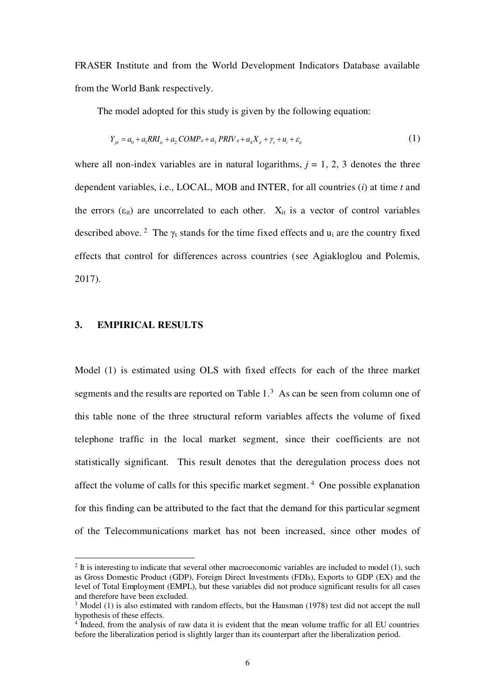FRASER Institute and from the World Development Indicators Database available from the World Bank respectively.

The model adopted for this study is given by the following equation:

$$
Y_{jii} = a_0 + a_1 R R I_{ii} + a_2 COMP_{ii} + a_3 PRIV_{ii} + a_4 X_{ii} + \gamma_t + u_i + \varepsilon_{ii}
$$
\n(1)

where all non-index variables are in natural logarithms,  $j = 1, 2, 3$  denotes the three dependent variables, i.e., LOCAL, MOB and INTER, for all countries (*i*) at time *t* and the errors  $(\epsilon_{it})$  are uncorrelated to each other.  $X_{it}$  is a vector of control variables described above.<sup>2</sup> The  $\gamma_t$  stands for the time fixed effects and  $u_i$  are the country fixed effects that control for differences across countries (see Agiakloglou and Polemis, 2017).

## **3. EMPIRICAL RESULTS**

Model (1) is estimated using OLS with fixed effects for each of the three market segments and the results are reported on Table  $1<sup>3</sup>$  As can be seen from column one of this table none of the three structural reform variables affects the volume of fixed telephone traffic in the local market segment, since their coefficients are not statistically significant. This result denotes that the deregulation process does not affect the volume of calls for this specific market segment.<sup>4</sup> One possible explanation for this finding can be attributed to the fact that the demand for this particular segment of the Telecommunications market has not been increased, since other modes of

<sup>&</sup>lt;sup>2</sup> It is interesting to indicate that several other macroeconomic variables are included to model (1), such as Gross Domestic Product (GDP), Foreign Direct Investments (FDIs), Exports to GDP (EX) and the level of Total Employment (EMPL), but these variables did not produce significant results for all cases and therefore have been excluded.

 $3 \text{ Model } (1)$  is also estimated with random effects, but the Hausman (1978) test did not accept the null hypothesis of these effects.

<sup>&</sup>lt;sup>4</sup> Indeed, from the analysis of raw data it is evident that the mean volume traffic for all EU countries before the liberalization period is slightly larger than its counterpart after the liberalization period.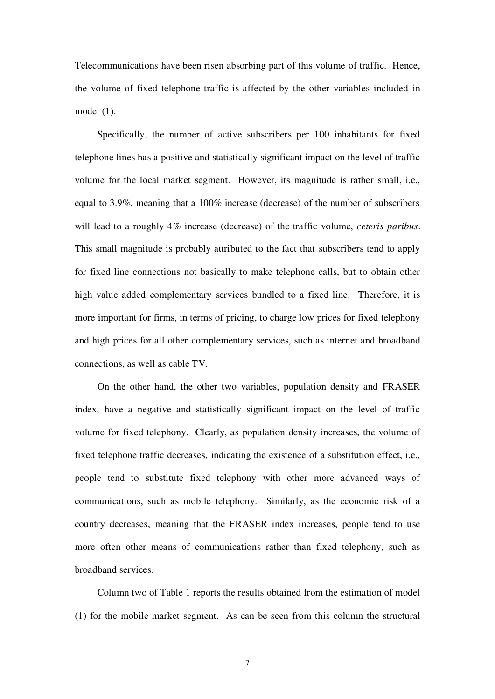Telecommunications have been risen absorbing part of this volume of traffic. Hence, the volume of fixed telephone traffic is affected by the other variables included in model (1).

 Specifically, the number of active subscribers per 100 inhabitants for fixed telephone lines has a positive and statistically significant impact on the level of traffic volume for the local market segment. However, its magnitude is rather small, i.e., equal to 3.9%, meaning that a 100% increase (decrease) of the number of subscribers will lead to a roughly 4% increase (decrease) of the traffic volume, *ceteris paribus*. This small magnitude is probably attributed to the fact that subscribers tend to apply for fixed line connections not basically to make telephone calls, but to obtain other high value added complementary services bundled to a fixed line. Therefore, it is more important for firms, in terms of pricing, to charge low prices for fixed telephony and high prices for all other complementary services, such as internet and broadband connections, as well as cable TV.

 On the other hand, the other two variables, population density and FRASER index, have a negative and statistically significant impact on the level of traffic volume for fixed telephony. Clearly, as population density increases, the volume of fixed telephone traffic decreases, indicating the existence of a substitution effect, i.e., people tend to substitute fixed telephony with other more advanced ways of communications, such as mobile telephony. Similarly, as the economic risk of a country decreases, meaning that the FRASER index increases, people tend to use more often other means of communications rather than fixed telephony, such as broadband services.

 Column two of Table 1 reports the results obtained from the estimation of model (1) for the mobile market segment. As can be seen from this column the structural

7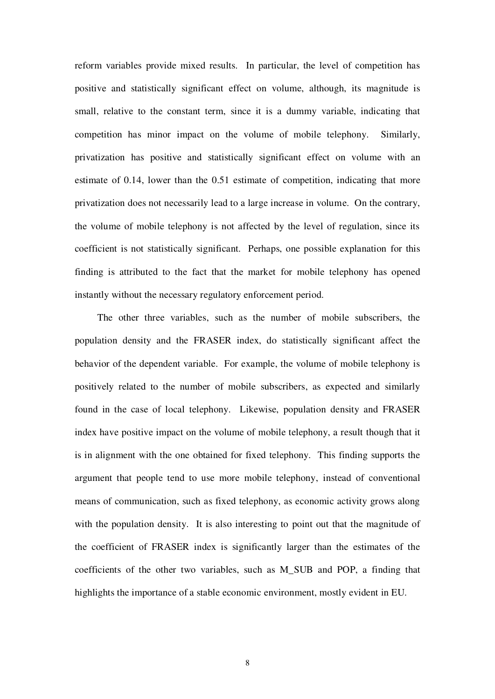reform variables provide mixed results. In particular, the level of competition has positive and statistically significant effect on volume, although, its magnitude is small, relative to the constant term, since it is a dummy variable, indicating that competition has minor impact on the volume of mobile telephony. Similarly, privatization has positive and statistically significant effect on volume with an estimate of 0.14, lower than the 0.51 estimate of competition, indicating that more privatization does not necessarily lead to a large increase in volume. On the contrary, the volume of mobile telephony is not affected by the level of regulation, since its coefficient is not statistically significant. Perhaps, one possible explanation for this finding is attributed to the fact that the market for mobile telephony has opened instantly without the necessary regulatory enforcement period.

 The other three variables, such as the number of mobile subscribers, the population density and the FRASER index, do statistically significant affect the behavior of the dependent variable. For example, the volume of mobile telephony is positively related to the number of mobile subscribers, as expected and similarly found in the case of local telephony. Likewise, population density and FRASER index have positive impact on the volume of mobile telephony, a result though that it is in alignment with the one obtained for fixed telephony. This finding supports the argument that people tend to use more mobile telephony, instead of conventional means of communication, such as fixed telephony, as economic activity grows along with the population density. It is also interesting to point out that the magnitude of the coefficient of FRASER index is significantly larger than the estimates of the coefficients of the other two variables, such as M\_SUB and POP, a finding that highlights the importance of a stable economic environment, mostly evident in EU.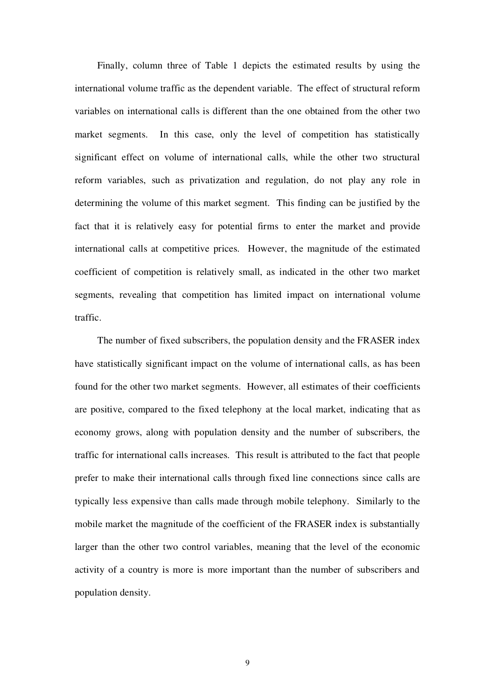Finally, column three of Table 1 depicts the estimated results by using the international volume traffic as the dependent variable. The effect of structural reform variables on international calls is different than the one obtained from the other two market segments. In this case, only the level of competition has statistically significant effect on volume of international calls, while the other two structural reform variables, such as privatization and regulation, do not play any role in determining the volume of this market segment. This finding can be justified by the fact that it is relatively easy for potential firms to enter the market and provide international calls at competitive prices. However, the magnitude of the estimated coefficient of competition is relatively small, as indicated in the other two market segments, revealing that competition has limited impact on international volume traffic.

 The number of fixed subscribers, the population density and the FRASER index have statistically significant impact on the volume of international calls, as has been found for the other two market segments. However, all estimates of their coefficients are positive, compared to the fixed telephony at the local market, indicating that as economy grows, along with population density and the number of subscribers, the traffic for international calls increases. This result is attributed to the fact that people prefer to make their international calls through fixed line connections since calls are typically less expensive than calls made through mobile telephony. Similarly to the mobile market the magnitude of the coefficient of the FRASER index is substantially larger than the other two control variables, meaning that the level of the economic activity of a country is more is more important than the number of subscribers and population density.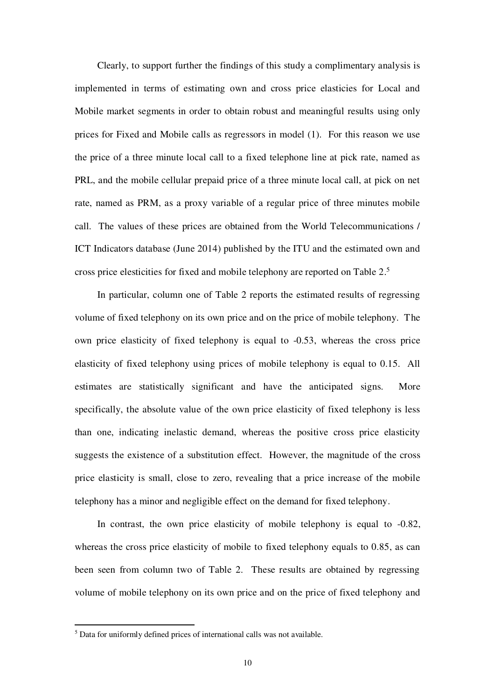Clearly, to support further the findings of this study a complimentary analysis is implemented in terms of estimating own and cross price elasticies for Local and Mobile market segments in order to obtain robust and meaningful results using only prices for Fixed and Mobile calls as regressors in model (1). For this reason we use the price of a three minute local call to a fixed telephone line at pick rate, named as PRL, and the mobile cellular prepaid price of a three minute local call, at pick on net rate, named as PRM, as a proxy variable of a regular price of three minutes mobile call. The values of these prices are obtained from the World Telecommunications / ICT Indicators database (June 2014) published by the ITU and the estimated own and cross price elesticities for fixed and mobile telephony are reported on Table 2.<sup>5</sup>

 In particular, column one of Table 2 reports the estimated results of regressing volume of fixed telephony on its own price and on the price of mobile telephony. The own price elasticity of fixed telephony is equal to -0.53, whereas the cross price elasticity of fixed telephony using prices of mobile telephony is equal to 0.15. All estimates are statistically significant and have the anticipated signs. More specifically, the absolute value of the own price elasticity of fixed telephony is less than one, indicating inelastic demand, whereas the positive cross price elasticity suggests the existence of a substitution effect. However, the magnitude of the cross price elasticity is small, close to zero, revealing that a price increase of the mobile telephony has a minor and negligible effect on the demand for fixed telephony.

 In contrast, the own price elasticity of mobile telephony is equal to -0.82, whereas the cross price elasticity of mobile to fixed telephony equals to 0.85, as can been seen from column two of Table 2. These results are obtained by regressing volume of mobile telephony on its own price and on the price of fixed telephony and

 5 Data for uniformly defined prices of international calls was not available.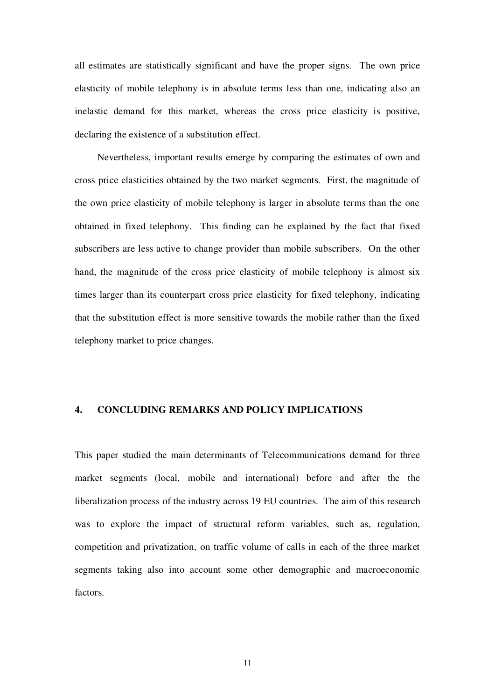all estimates are statistically significant and have the proper signs. The own price elasticity of mobile telephony is in absolute terms less than one, indicating also an inelastic demand for this market, whereas the cross price elasticity is positive, declaring the existence of a substitution effect.

 Nevertheless, important results emerge by comparing the estimates of own and cross price elasticities obtained by the two market segments. First, the magnitude of the own price elasticity of mobile telephony is larger in absolute terms than the one obtained in fixed telephony. This finding can be explained by the fact that fixed subscribers are less active to change provider than mobile subscribers. On the other hand, the magnitude of the cross price elasticity of mobile telephony is almost six times larger than its counterpart cross price elasticity for fixed telephony, indicating that the substitution effect is more sensitive towards the mobile rather than the fixed telephony market to price changes.

# **4. CONCLUDING REMARKS AND POLICY IMPLICATIONS**

This paper studied the main determinants of Telecommunications demand for three market segments (local, mobile and international) before and after the the liberalization process of the industry across 19 EU countries. The aim of this research was to explore the impact of structural reform variables, such as, regulation, competition and privatization, on traffic volume of calls in each of the three market segments taking also into account some other demographic and macroeconomic factors.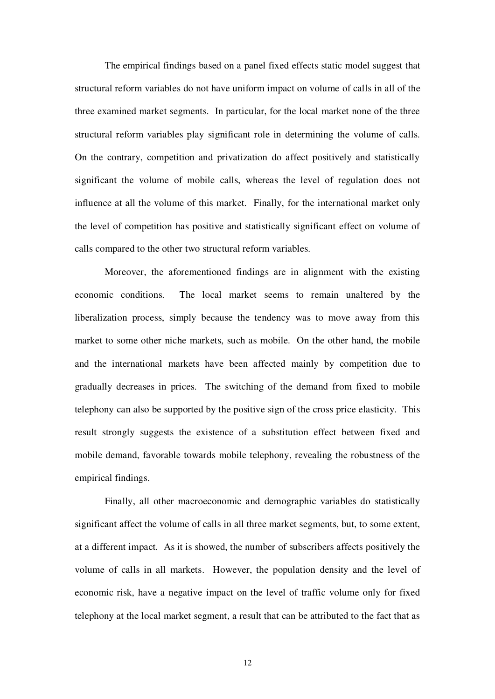The empirical findings based on a panel fixed effects static model suggest that structural reform variables do not have uniform impact on volume of calls in all of the three examined market segments. In particular, for the local market none of the three structural reform variables play significant role in determining the volume of calls. On the contrary, competition and privatization do affect positively and statistically significant the volume of mobile calls, whereas the level of regulation does not influence at all the volume of this market. Finally, for the international market only the level of competition has positive and statistically significant effect on volume of calls compared to the other two structural reform variables.

 Moreover, the aforementioned findings are in alignment with the existing economic conditions. The local market seems to remain unaltered by the liberalization process, simply because the tendency was to move away from this market to some other niche markets, such as mobile. On the other hand, the mobile and the international markets have been affected mainly by competition due to gradually decreases in prices. The switching of the demand from fixed to mobile telephony can also be supported by the positive sign of the cross price elasticity. This result strongly suggests the existence of a substitution effect between fixed and mobile demand, favorable towards mobile telephony, revealing the robustness of the empirical findings.

 Finally, all other macroeconomic and demographic variables do statistically significant affect the volume of calls in all three market segments, but, to some extent, at a different impact. As it is showed, the number of subscribers affects positively the volume of calls in all markets. However, the population density and the level of economic risk, have a negative impact on the level of traffic volume only for fixed telephony at the local market segment, a result that can be attributed to the fact that as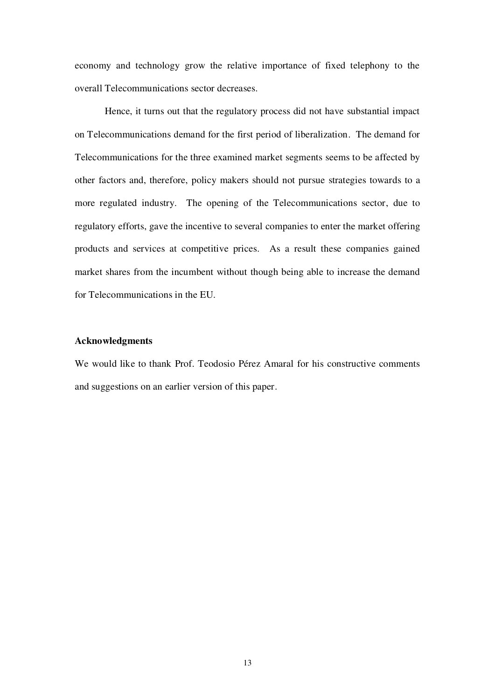economy and technology grow the relative importance of fixed telephony to the overall Telecommunications sector decreases.

 Hence, it turns out that the regulatory process did not have substantial impact on Telecommunications demand for the first period of liberalization. The demand for Telecommunications for the three examined market segments seems to be affected by other factors and, therefore, policy makers should not pursue strategies towards to a more regulated industry. The opening of the Telecommunications sector, due to regulatory efforts, gave the incentive to several companies to enter the market offering products and services at competitive prices. As a result these companies gained market shares from the incumbent without though being able to increase the demand for Telecommunications in the EU.

# **Acknowledgments**

We would like to thank Prof. Teodosio Pérez Amaral for his constructive comments and suggestions on an earlier version of this paper.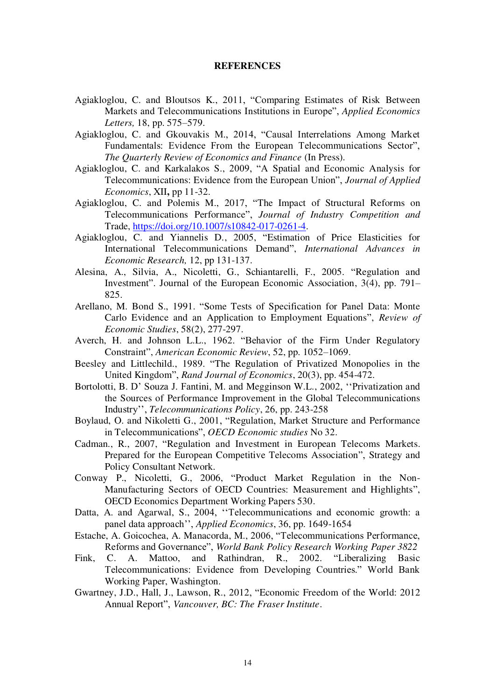#### **REFERENCES**

- Agiakloglou, C. and Bloutsos K., 2011, "Comparing Estimates of Risk Between Markets and Telecommunications Institutions in Europe", *Applied Economics Letters,* 18, pp. 575–579.
- Agiakloglou, C. and Gkouvakis M., 2014, "Causal Interrelations Among Market Fundamentals: Evidence From the European Telecommunications Sector", *The Quarterly Review of Economics and Finance* (In Press).
- Agiakloglou, C. and Karkalakos S., 2009, "A Spatial and Economic Analysis for Telecommunications: Evidence from the European Union", *Journal of Applied Economics*, XII**,** pp 11-32.
- Agiakloglou, C. and Polemis M., 2017, "The Impact of Structural Reforms on Telecommunications Performance", *Journal of Industry Competition and*  Trade, [https://doi.org/10.1007/s10842-017-0261-4.](https://doi.org/10.1007/s10842-017-0261-4)
- Agiakloglou, C. and Yiannelis D., 2005, "Estimation of Price Elasticities for International Telecommunications Demand", *International Advances in Economic Research,* 12, pp 131-137.
- Alesina, A., Silvia, A., Nicoletti, G., Schiantarelli, F., 2005. "Regulation and Investment". Journal of the European Economic Association, 3(4), pp. 791– 825.
- Arellano, M. Bond S., 1991. "Some Tests of Specification for Panel Data: Monte Carlo Evidence and an Application to Employment Equations", *Review of Economic Studies*, 58(2), 277-297.
- Averch, H. and Johnson L.L., 1962. "Behavior of the Firm Under Regulatory Constraint", *American Economic Review*, 52, pp. 1052–1069.
- Beesley and Littlechild., 1989. "The Regulation of Privatized Monopolies in the United Kingdom", *Rand Journal of Economics*, 20(3), pp. 454-472.
- Bortolotti, B. D' Souza J. Fantini, M. and Megginson W.L., 2002, ''Privatization and the Sources of Performance Improvement in the Global Telecommunications Industry'', *Telecommunications Policy*, 26, pp. 243-258
- Boylaud, O. and Nikoletti G., 2001, "Regulation, Market Structure and Performance in Telecommunications", *OECD Economic studies* No 32.
- Cadman., R., 2007, "Regulation and Investment in European Telecoms Markets. Prepared for the European Competitive Telecoms Association", Strategy and Policy Consultant Network.
- Conway P., Nicoletti, G., 2006, "Product Market Regulation in the Non-Manufacturing Sectors of OECD Countries: Measurement and Highlights", OECD Economics Department Working Papers 530.
- Datta, A. and Agarwal, S., 2004, ''Telecommunications and economic growth: a panel data approach'', *Applied Economics*, 36, pp. 1649-1654
- Estache, A. Goicochea, A. Manacorda, M., 2006, "Telecommunications Performance, Reforms and Governance", *World Bank Policy Research Working Paper 3822*
- Fink, C. A. Mattoo, and Rathindran, R., 2002. "Liberalizing Basic Telecommunications: Evidence from Developing Countries." World Bank Working Paper, Washington.
- Gwartney, J.D., Hall, J., Lawson, R., 2012, "Economic Freedom of the World: 2012 Annual Report", *Vancouver, BC: The Fraser Institute*.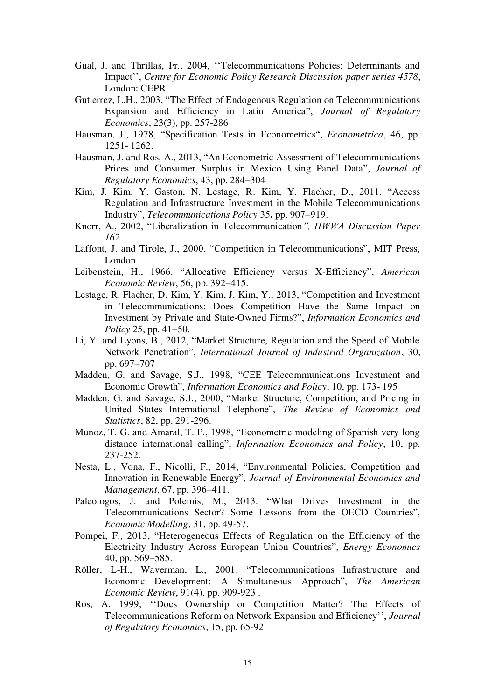- Gual, J. and Thrillas, Fr., 2004, ''Telecommunications Policies: Determinants and Impact'', *Centre for Economic Policy Research Discussion paper series 4578*, London: CEPR
- Gutierrez, L.H., 2003, "The Effect of Endogenous Regulation on Telecommunications Expansion and Efficiency in Latin America", *Journal of Regulatory Economics*, 23(3), pp. 257-286
- Hausman, J., 1978, "Specification Tests in Econometrics", *Econometrica*, 46, pp. 1251- 1262.
- Hausman, J. and Ros, Α., 2013, "An Econometric Assessment of Telecommunications Prices and Consumer Surplus in Mexico Using Panel Data", *Journal of Regulatory Economics*, 43, pp. 284–304
- Kim, J. Kim, Y. Gaston, N. Lestage, R. Kim, Y. Flacher, D., 2011. "Access Regulation and Infrastructure Investment in the Mobile Telecommunications Industry", *Telecommunications Policy* 35**,** pp. 907–919.
- Knorr, A., 2002, "Liberalization in Telecommunication*", HWWA Discussion Paper 162*
- Laffont, J. and Tirole, J., 2000, "Competition in Telecommunications", MIT Press, London
- Leibenstein, H., 1966. "Allocative Efficiency versus X-Efficiency", *American Economic Review*, 56, pp. 392–415.
- Lestage, R. Flacher, D. Kim, Y. Kim, J. Kim, Y., 2013, "Competition and Investment in Telecommunications: Does Competition Have the Same Impact on Investment by Private and State-Owned Firms?", *Information Economics and Policy* 25, pp. 41–50.
- Li, Y. and Lyons, B., 2012, "Market Structure, Regulation and the Speed of Mobile Network Penetration", *International Journal of Industrial Organization*, 30, pp. 697–707
- Madden, G. and Savage, S.J., 1998, "CEE Telecommunications Investment and Economic Growth", *Information Economics and Policy*, 10, pp. 173- 195
- Madden, G. and Savage, S.J., 2000, "Market Structure, Competition, and Pricing in United States International Telephone", *The Review of Economics and Statistics*, 82, pp. 291-296.
- Munoz, T. G. and Amaral, T. P., 1998, "Econometric modeling of Spanish very long distance international calling", *Information Economics and Policy*, 10, pp. 237-252.
- Nesta, L., Vona, F., Nicolli, F., 2014, "Environmental Policies, Competition and Innovation in Renewable Energy", *Journal of Environmental Economics and Management*, 67, pp. 396–411.
- Paleologos, J. and Polemis, M., 2013. "What Drives Investment in the Telecommunications Sector? Some Lessons from the OECD Countries", *Economic Modelling*, 31, pp. 49-57.
- Pompei, F., 2013, "Heterogeneous Effects of Regulation on the Efficiency of the Electricity Industry Across European Union Countries", *Energy Economics* 40, pp. 569–585.
- Röller, L-H., Waverman, L., 2001. "Telecommunications Infrastructure and Economic Development: A Simultaneous Approach", *The American Economic Review*, 91(4), pp. 909-923 .
- Ros, A. 1999, ''Does Ownership or Competition Matter? The Effects of Telecommunications Reform on Network Expansion and Efficiency'', *Journal of Regulatory Economics*, 15, pp. 65-92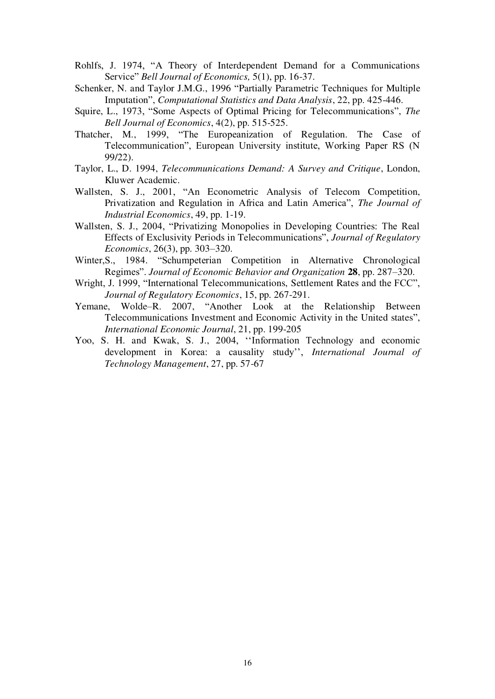- Rohlfs, J. 1974, "A Theory of Interdependent Demand for a Communications Service" *Bell Journal of Economics,* 5(1), pp. 16-37.
- Schenker, N. and Taylor J.M.G., 1996 "Partially Parametric Techniques for Multiple Imputation", *Computational Statistics and Data Analysis*, 22, pp. 425-446.
- Squire, L., 1973, "Some Aspects of Optimal Pricing for Telecommunications", *The Bell Journal of Economics*, 4(2), pp. 515-525.
- Thatcher, M., 1999, "The Europeanization of Regulation. The Case of Telecommunication", European University institute, Working Paper RS (N 99/22).
- Taylor, L., D. 1994, *Telecommunications Demand: A Survey and Critique*, London, Kluwer Academic.
- Wallsten, S. J., 2001, "An Econometric Analysis of Telecom Competition, Privatization and Regulation in Africa and Latin America", *The Journal of Industrial Economics*, 49, pp. 1-19.
- Wallsten, S. J., 2004, "Privatizing Monopolies in Developing Countries: The Real Effects of Exclusivity Periods in Telecommunications", *Journal of Regulatory Economics*, 26(3), pp. 303–320.
- Winter,S., 1984. "Schumpeterian Competition in Alternative Chronological Regimes". *Journal of Economic Behavior and Organization* **28**, pp. 287–320.
- Wright, J. 1999, "International Telecommunications, Settlement Rates and the FCC", *Journal of Regulatory Economics*, 15, pp. 267-291.
- Yemane, Wolde–R. 2007, "Another Look at the Relationship Between Telecommunications Investment and Economic Activity in the United states", *International Economic Journal*, 21, pp. 199-205
- Yoo, S. H. and Kwak, S. J., 2004, ''Information Technology and economic development in Korea: a causality study'', *International Journal of Technology Management*, 27, pp. 57-67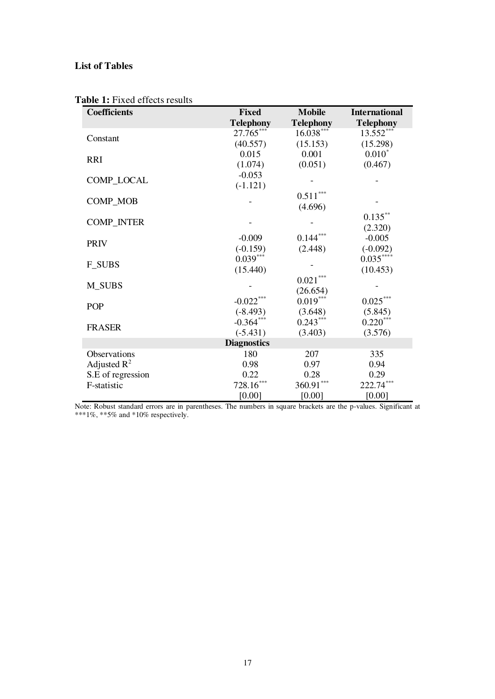# **List of Tables**

| <b>Coefficients</b> | <b>Fixed</b>     | <b>Mobile</b>          | <b>International</b> |  |
|---------------------|------------------|------------------------|----------------------|--|
|                     | <b>Telephony</b> | <b>Telephony</b>       | <b>Telephony</b>     |  |
| Constant            | 27.765***        | $16.038***$            | 13.552***            |  |
|                     | (40.557)         | (15.153)               | (15.298)             |  |
| <b>RRI</b>          | 0.015            | 0.001                  | $0.010*$             |  |
|                     | (1.074)          | (0.051)                | (0.467)              |  |
| COMP_LOCAL          | $-0.053$         |                        |                      |  |
|                     | $(-1.121)$       |                        |                      |  |
| COMP_MOB            |                  | $0.511^{\ast\ast\ast}$ |                      |  |
|                     |                  | (4.696)                |                      |  |
| <b>COMP_INTER</b>   |                  |                        | $0.135^{\ast\ast}$   |  |
|                     |                  |                        | (2.320)              |  |
| <b>PRIV</b>         | $-0.009$         | $0.144***$             | $-0.005$             |  |
|                     | $(-0.159)$       | (2.448)                | $(-0.092)$           |  |
| <b>F_SUBS</b>       | $0.039***$       |                        | $0.035***$           |  |
|                     | (15.440)         |                        | (10.453)             |  |
|                     |                  | $0.021^{\ast\ast\ast}$ |                      |  |
| <b>M_SUBS</b>       |                  | (26.654)               |                      |  |
| <b>POP</b>          | $-0.022***$      | $0.019***$             | $0.025\sp{***}$      |  |
|                     | $(-8.493)$       | (3.648)                | (5.845)              |  |
| <b>FRASER</b>       | $-0.364***$      | $0.243***$             | $0.220***$           |  |
|                     | $(-5.431)$       | (3.403)                | (3.576)              |  |
| <b>Diagnostics</b>  |                  |                        |                      |  |
| Observations        | 180              | 207                    | 335                  |  |
| Adjusted $R^2$      | 0.98             | 0.97                   | 0.94                 |  |
| S.E of regression   | 0.22             | 0.28                   | 0.29                 |  |
| F-statistic         | $728.16***$      | $360.91***$            | 222.74***            |  |
|                     | [0.00]           | [0.00]                 | [0.00]               |  |

**Table 1:** Fixed effects results

Note: Robust standard errors are in parentheses. The numbers in square brackets are the p-values. Significant at \*\*\*1%, \*\*5% and \*10% respectively.